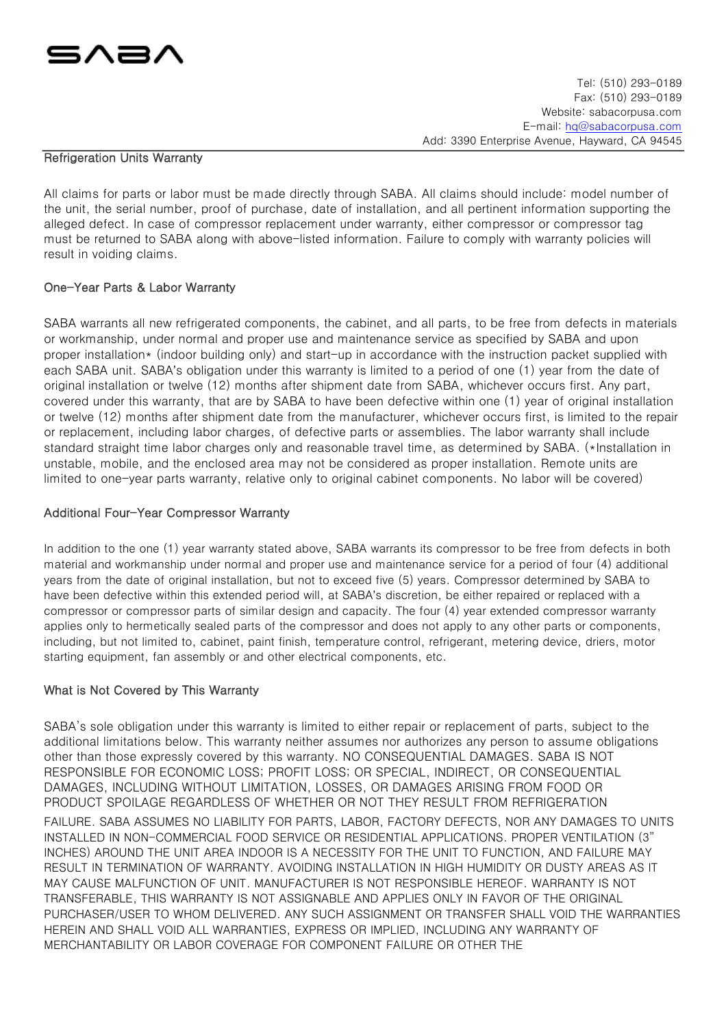

### Refrigeration Units Warranty

All claims for parts or labor must be made directly through SABA. All claims should include: model number of the unit, the serial number, proof of purchase, date of installation, and all pertinent information supporting the alleged defect. In case of compressor replacement under warranty, either compressor or compressor tag must be returned to SABA along with above-listed information. Failure to comply with warranty policies will result in voiding claims.

# One-Year Parts & Labor Warranty

SABA warrants all new refrigerated components, the cabinet, and all parts, to be free from defects in materials or workmanship, under normal and proper use and maintenance service as specified by SABA and upon proper installation\* (indoor building only) and start-up in accordance with the instruction packet supplied with each SABA unit. SABA's obligation under this warranty is limited to a period of one (1) year from the date of original installation or twelve (12) months after shipment date from SABA, whichever occurs first. Any part, covered under this warranty, that are by SABA to have been defective within one (1) year of original installation or twelve (12) months after shipment date from the manufacturer, whichever occurs first, is limited to the repair or replacement, including labor charges, of defective parts or assemblies. The labor warranty shall include standard straight time labor charges only and reasonable travel time, as determined by SABA. (\*Installation in unstable, mobile, and the enclosed area may not be considered as proper installation. Remote units are limited to one-year parts warranty, relative only to original cabinet components. No labor will be covered)

# Additional Four-Year Compressor Warranty

In addition to the one (1) year warranty stated above, SABA warrants its compressor to be free from defects in both material and workmanship under normal and proper use and maintenance service for a period of four (4) additional years from the date of original installation, but not to exceed five (5) years. Compressor determined by SABA to have been defective within this extended period will, at SABA's discretion, be either repaired or replaced with a compressor or compressor parts of similar design and capacity. The four (4) year extended compressor warranty applies only to hermetically sealed parts of the compressor and does not apply to any other parts or components, including, but not limited to, cabinet, paint finish, temperature control, refrigerant, metering device, driers, motor starting equipment, fan assembly or and other electrical components, etc.

# What is Not Covered by This Warranty

SABA's sole obligation under this warranty is limited to either repair or replacement of parts, subject to the additional limitations below. This warranty neither assumes nor authorizes any person to assume obligations other than those expressly covered by this warranty. NO CONSEQUENTIAL DAMAGES. SABA IS NOT RESPONSIBLE FOR ECONOMIC LOSS; PROFIT LOSS; OR SPECIAL, INDIRECT, OR CONSEQUENTIAL DAMAGES, INCLUDING WITHOUT LIMITATION, LOSSES, OR DAMAGES ARISING FROM FOOD OR PRODUCT SPOILAGE REGARDLESS OF WHETHER OR NOT THEY RESULT FROM REFRIGERATION FAILURE. SABA ASSUMES NO LIABILITY FOR PARTS, LABOR, FACTORY DEFECTS, NOR ANY DAMAGES TO UNITS INSTALLED IN NON-COMMERCIAL FOOD SERVICE OR RESIDENTIAL APPLICATIONS. PROPER VENTILATION (3" INCHES) AROUND THE UNIT AREA INDOOR IS A NECESSITY FOR THE UNIT TO FUNCTION, AND FAILURE MAY RESULT IN TERMINATION OF WARRANTY. AVOIDING INSTALLATION IN HIGH HUMIDITY OR DUSTY AREAS AS IT MAY CAUSE MALFUNCTION OF UNIT. MANUFACTURER IS NOT RESPONSIBLE HEREOF. WARRANTY IS NOT TRANSFERABLE, THIS WARRANTY IS NOT ASSIGNABLE AND APPLIES ONLY IN FAVOR OF THE ORIGINAL PURCHASER/USER TO WHOM DELIVERED. ANY SUCH ASSIGNMENT OR TRANSFER SHALL VOID THE WARRANTIES HEREIN AND SHALL VOID ALL WARRANTIES, EXPRESS OR IMPLIED, INCLUDING ANY WARRANTY OF MERCHANTABILITY OR LABOR COVERAGE FOR COMPONENT FAILURE OR OTHER THE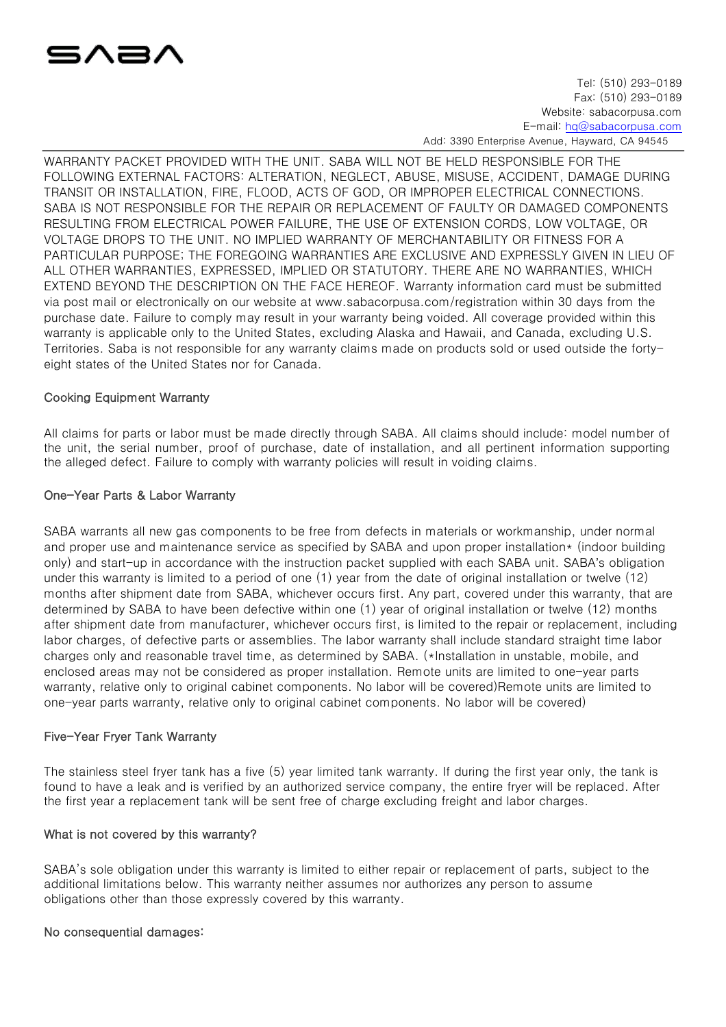

Tel: (510) 293-0189 Fax: (510) 293-0189 Website: sabacorpusa.com E-mail: hq@sabacorpusa.com

Add: 3390 Enterprise Avenue, Hayward, CA 94545

WARRANTY PACKET PROVIDED WITH THE UNIT. SABA WILL NOT BE HELD RESPONSIBLE FOR THE FOLLOWING EXTERNAL FACTORS: ALTERATION, NEGLECT, ABUSE, MISUSE, ACCIDENT, DAMAGE DURING TRANSIT OR INSTALLATION, FIRE, FLOOD, ACTS OF GOD, OR IMPROPER ELECTRICAL CONNECTIONS. SABA IS NOT RESPONSIBLE FOR THE REPAIR OR REPLACEMENT OF FAULTY OR DAMAGED COMPONENTS RESULTING FROM ELECTRICAL POWER FAILURE, THE USE OF EXTENSION CORDS, LOW VOLTAGE, OR VOLTAGE DROPS TO THE UNIT. NO IMPLIED WARRANTY OF MERCHANTABILITY OR FITNESS FOR A PARTICULAR PURPOSE; THE FOREGOING WARRANTIES ARE EXCLUSIVE AND EXPRESSLY GIVEN IN LIEU OF ALL OTHER WARRANTIES, EXPRESSED, IMPLIED OR STATUTORY. THERE ARE NO WARRANTIES, WHICH EXTEND BEYOND THE DESCRIPTION ON THE FACE HEREOF. Warranty information card must be submitted via post mail or electronically on our website at www.sabacorpusa.com/registration within 30 days from the purchase date. Failure to comply may result in your warranty being voided. All coverage provided within this warranty is applicable only to the United States, excluding Alaska and Hawaii, and Canada, excluding U.S. Territories. Saba is not responsible for any warranty claims made on products sold or used outside the fortyeight states of the United States nor for Canada.

# Cooking Equipment Warranty

All claims for parts or labor must be made directly through SABA. All claims should include: model number of the unit, the serial number, proof of purchase, date of installation, and all pertinent information supporting the alleged defect. Failure to comply with warranty policies will result in voiding claims.

# One-Year Parts & Labor Warranty

SABA warrants all new gas components to be free from defects in materials or workmanship, under normal and proper use and maintenance service as specified by SABA and upon proper installation\* (indoor building only) and start-up in accordance with the instruction packet supplied with each SABA unit. SABA's obligation under this warranty is limited to a period of one (1) year from the date of original installation or twelve (12) months after shipment date from SABA, whichever occurs first. Any part, covered under this warranty, that are determined by SABA to have been defective within one (1) year of original installation or twelve (12) months after shipment date from manufacturer, whichever occurs first, is limited to the repair or replacement, including labor charges, of defective parts or assemblies. The labor warranty shall include standard straight time labor charges only and reasonable travel time, as determined by SABA. (\*Installation in unstable, mobile, and enclosed areas may not be considered as proper installation. Remote units are limited to one-year parts warranty, relative only to original cabinet components. No labor will be covered)Remote units are limited to one-year parts warranty, relative only to original cabinet components. No labor will be covered)

# Five-Year Fryer Tank Warranty

The stainless steel fryer tank has a five (5) year limited tank warranty. If during the first year only, the tank is found to have a leak and is verified by an authorized service company, the entire fryer will be replaced. After the first year a replacement tank will be sent free of charge excluding freight and labor charges.

# What is not covered by this warranty?

SABA's sole obligation under this warranty is limited to either repair or replacement of parts, subject to the additional limitations below. This warranty neither assumes nor authorizes any person to assume obligations other than those expressly covered by this warranty.

# No consequential damages: